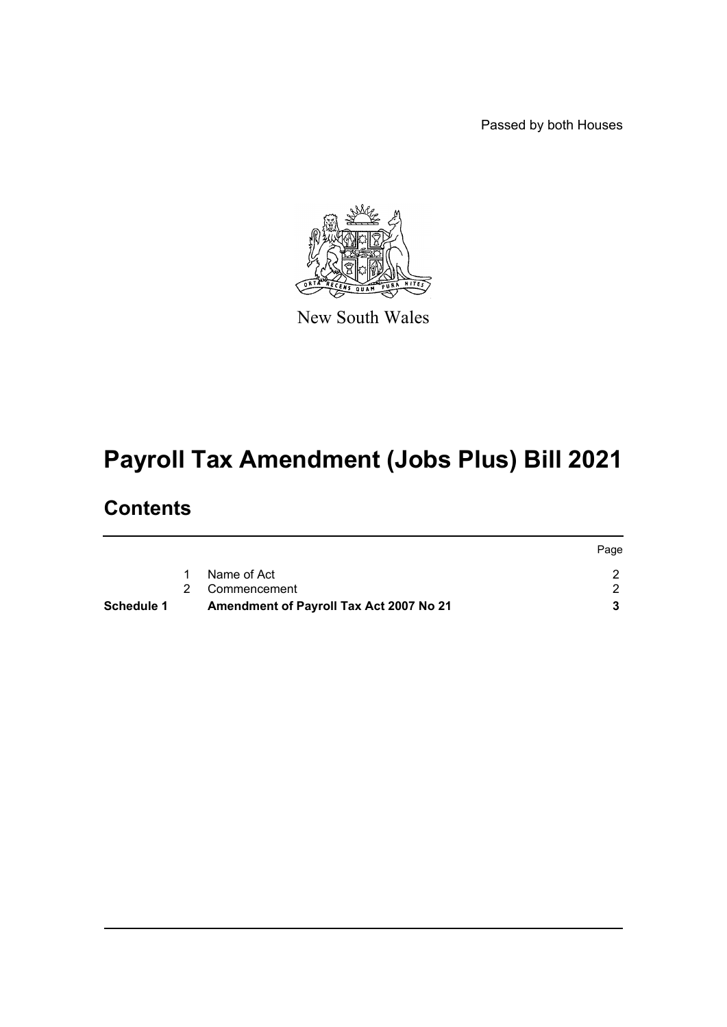Passed by both Houses



New South Wales

# **Payroll Tax Amendment (Jobs Plus) Bill 2021**

## **Contents**

|            |                                         | Page |
|------------|-----------------------------------------|------|
|            | Name of Act                             |      |
|            | 2 Commencement                          |      |
| Schedule 1 | Amendment of Payroll Tax Act 2007 No 21 |      |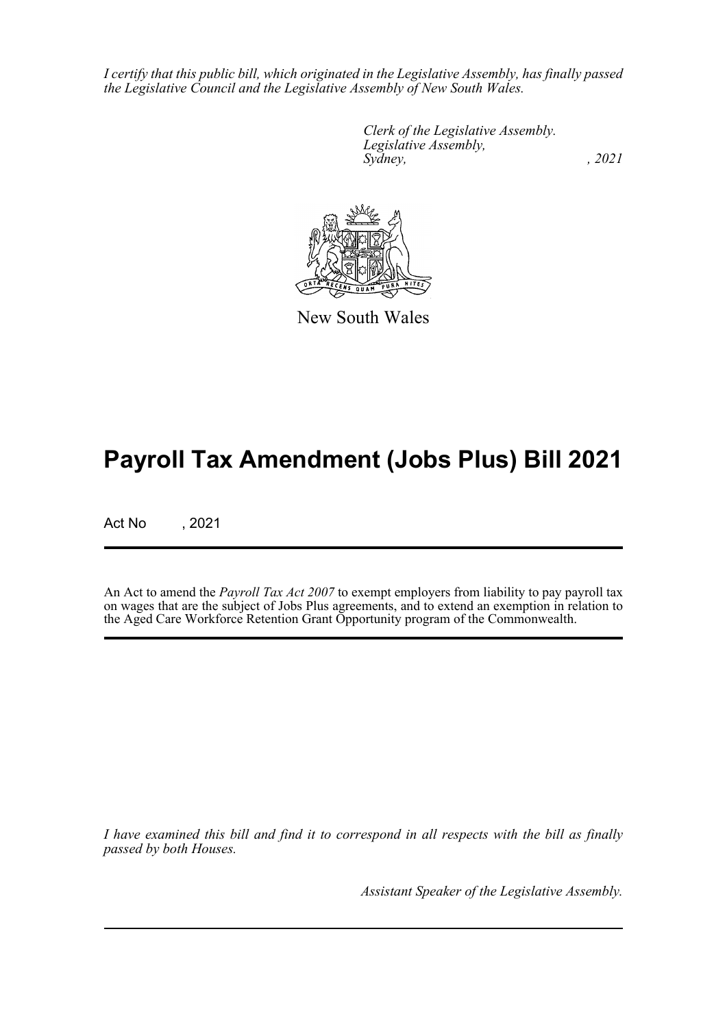*I certify that this public bill, which originated in the Legislative Assembly, has finally passed the Legislative Council and the Legislative Assembly of New South Wales.*

> *Clerk of the Legislative Assembly. Legislative Assembly, Sydney, , 2021*



New South Wales

## **Payroll Tax Amendment (Jobs Plus) Bill 2021**

Act No , 2021

An Act to amend the *Payroll Tax Act 2007* to exempt employers from liability to pay payroll tax on wages that are the subject of Jobs Plus agreements, and to extend an exemption in relation to the Aged Care Workforce Retention Grant Opportunity program of the Commonwealth.

*I have examined this bill and find it to correspond in all respects with the bill as finally passed by both Houses.*

*Assistant Speaker of the Legislative Assembly.*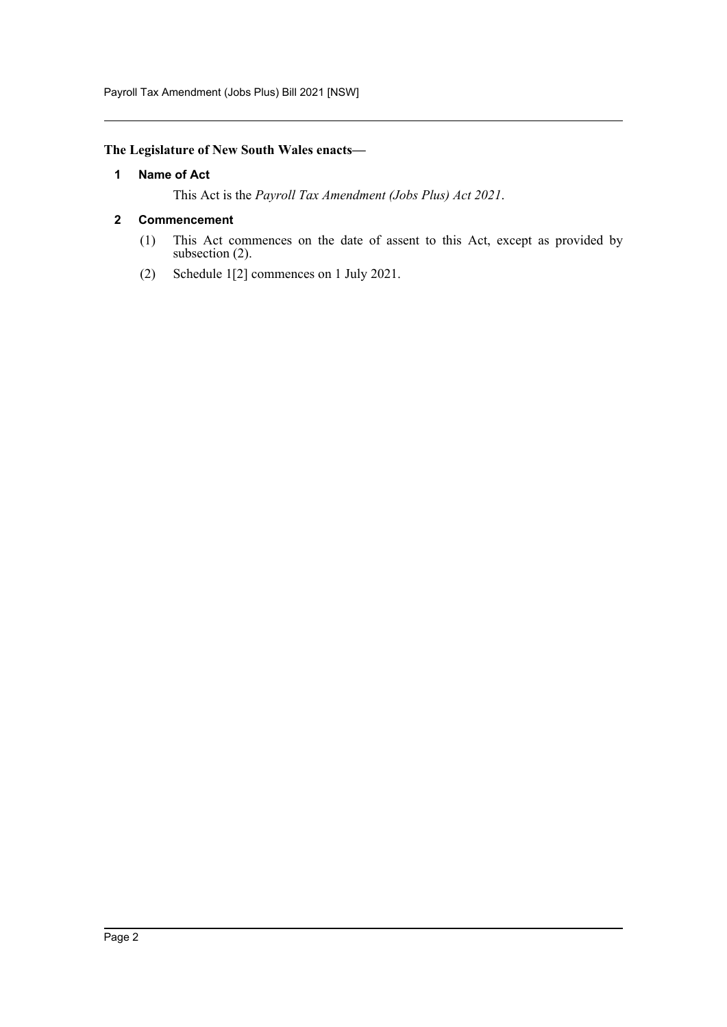Payroll Tax Amendment (Jobs Plus) Bill 2021 [NSW]

#### <span id="page-2-0"></span>**The Legislature of New South Wales enacts—**

#### **1 Name of Act**

This Act is the *Payroll Tax Amendment (Jobs Plus) Act 2021*.

#### <span id="page-2-1"></span>**2 Commencement**

- (1) This Act commences on the date of assent to this Act, except as provided by subsection (2).
- (2) Schedule 1[2] commences on 1 July 2021.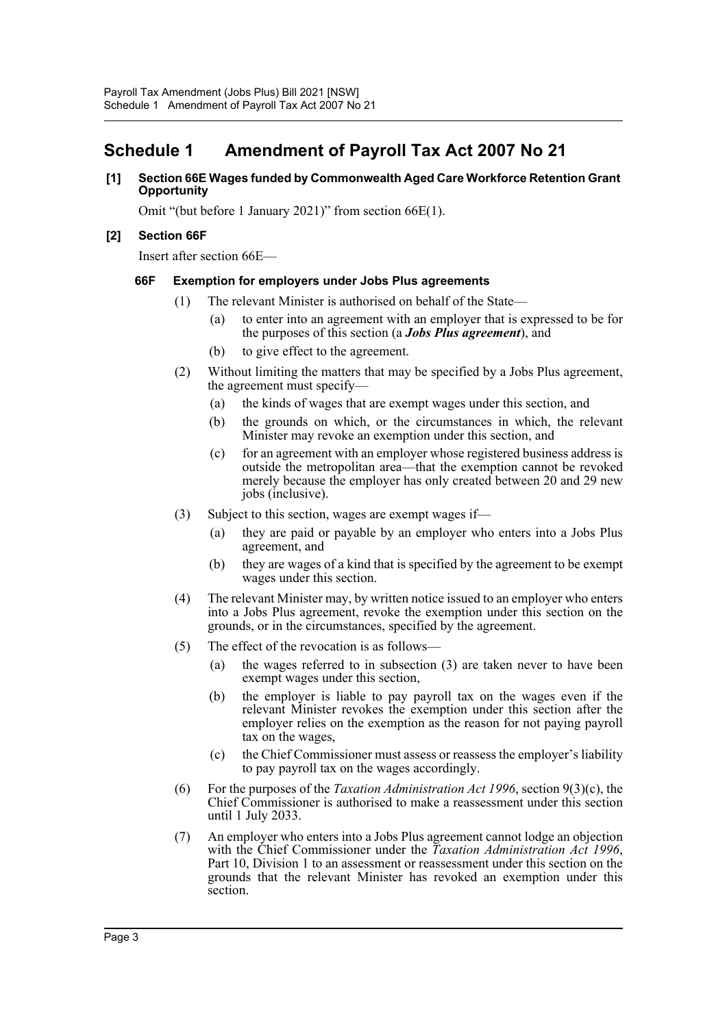### <span id="page-3-0"></span>**Schedule 1 Amendment of Payroll Tax Act 2007 No 21**

#### **[1] Section 66E Wages funded by Commonwealth Aged Care Workforce Retention Grant Opportunity**

Omit "(but before 1 January 2021)" from section 66E(1).

#### **[2] Section 66F**

Insert after section 66E—

#### **66F Exemption for employers under Jobs Plus agreements**

- (1) The relevant Minister is authorised on behalf of the State—
	- (a) to enter into an agreement with an employer that is expressed to be for the purposes of this section (a *Jobs Plus agreement*), and
	- (b) to give effect to the agreement.
- (2) Without limiting the matters that may be specified by a Jobs Plus agreement, the agreement must specify—
	- (a) the kinds of wages that are exempt wages under this section, and
	- (b) the grounds on which, or the circumstances in which, the relevant Minister may revoke an exemption under this section, and
	- (c) for an agreement with an employer whose registered business address is outside the metropolitan area—that the exemption cannot be revoked merely because the employer has only created between 20 and 29 new jobs (inclusive).
- (3) Subject to this section, wages are exempt wages if—
	- (a) they are paid or payable by an employer who enters into a Jobs Plus agreement, and
	- (b) they are wages of a kind that is specified by the agreement to be exempt wages under this section.
- (4) The relevant Minister may, by written notice issued to an employer who enters into a Jobs Plus agreement, revoke the exemption under this section on the grounds, or in the circumstances, specified by the agreement.
- (5) The effect of the revocation is as follows—
	- (a) the wages referred to in subsection (3) are taken never to have been exempt wages under this section,
	- (b) the employer is liable to pay payroll tax on the wages even if the relevant Minister revokes the exemption under this section after the employer relies on the exemption as the reason for not paying payroll tax on the wages,
	- (c) the Chief Commissioner must assess or reassess the employer's liability to pay payroll tax on the wages accordingly.
- (6) For the purposes of the *Taxation Administration Act 1996*, section 9(3)(c), the Chief Commissioner is authorised to make a reassessment under this section until 1 July 2033.
- (7) An employer who enters into a Jobs Plus agreement cannot lodge an objection with the Chief Commissioner under the *Taxation Administration Act 1996*, Part 10, Division 1 to an assessment or reassessment under this section on the grounds that the relevant Minister has revoked an exemption under this section.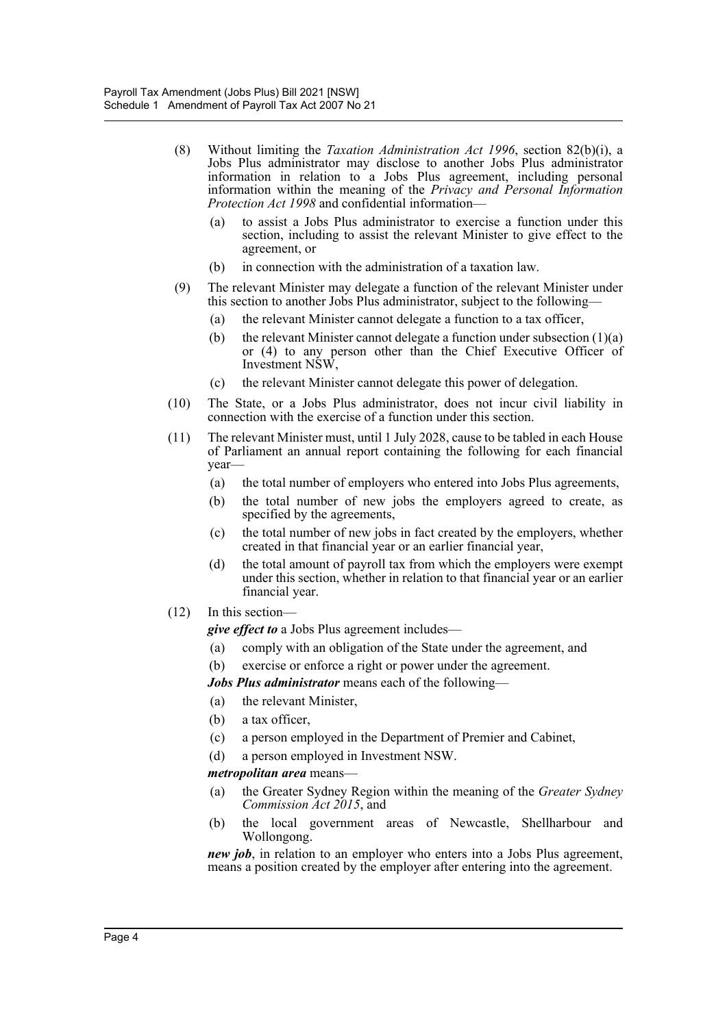- (8) Without limiting the *Taxation Administration Act 1996*, section 82(b)(i), a Jobs Plus administrator may disclose to another Jobs Plus administrator information in relation to a Jobs Plus agreement, including personal information within the meaning of the *Privacy and Personal Information Protection Act 1998* and confidential information—
	- (a) to assist a Jobs Plus administrator to exercise a function under this section, including to assist the relevant Minister to give effect to the agreement, or
	- (b) in connection with the administration of a taxation law.
- (9) The relevant Minister may delegate a function of the relevant Minister under this section to another Jobs Plus administrator, subject to the following—
	- (a) the relevant Minister cannot delegate a function to a tax officer,
	- (b) the relevant Minister cannot delegate a function under subsection  $(1)(a)$ or (4) to any person other than the Chief Executive Officer of Investment NSW,
	- (c) the relevant Minister cannot delegate this power of delegation.
- (10) The State, or a Jobs Plus administrator, does not incur civil liability in connection with the exercise of a function under this section.
- (11) The relevant Minister must, until 1 July 2028, cause to be tabled in each House of Parliament an annual report containing the following for each financial year—
	- (a) the total number of employers who entered into Jobs Plus agreements,
	- (b) the total number of new jobs the employers agreed to create, as specified by the agreements,
	- (c) the total number of new jobs in fact created by the employers, whether created in that financial year or an earlier financial year,
	- (d) the total amount of payroll tax from which the employers were exempt under this section, whether in relation to that financial year or an earlier financial year.
- (12) In this section—

*give effect to* a Jobs Plus agreement includes—

- (a) comply with an obligation of the State under the agreement, and
- (b) exercise or enforce a right or power under the agreement.
- *Jobs Plus administrator* means each of the following—
- (a) the relevant Minister,
- (b) a tax officer,
- (c) a person employed in the Department of Premier and Cabinet,
- (d) a person employed in Investment NSW.

#### *metropolitan area* means—

- (a) the Greater Sydney Region within the meaning of the *Greater Sydney Commission Act 2015*, and
- (b) the local government areas of Newcastle, Shellharbour and Wollongong.

*new job*, in relation to an employer who enters into a Jobs Plus agreement, means a position created by the employer after entering into the agreement.